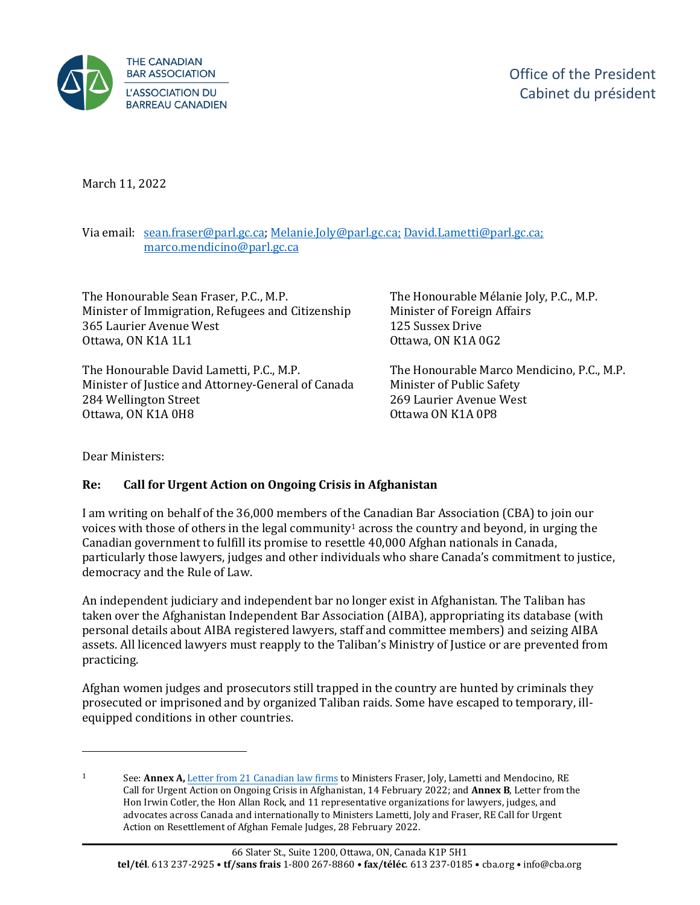

March 11, 2022

Via email: [sean.fraser@parl.gc.ca;](mailto:sean.fraser@parl.gc.ca) [Melanie.Joly@parl.gc.ca;](mailto:Melanie.Joly@parl.gc.ca) [David.Lametti@parl.gc.ca;](mailto:David.Lametti@parl.gc.ca) [marco.mendicino@parl.gc.ca](mailto:marco.mendicino@parl.gc.ca) 

The Honourable Sean Fraser, P.C., M.P. Minister of Immigration, Refugees and Citizenship 365 Laurier Avenue West Ottawa, ON K1A 1L1

The Honourable David Lametti, P.C., M.P. Minister of Justice and Attorney-General of Canada 284 Wellington Street Ottawa, ON K1A 0H8

The Honourable Mélanie Joly, P.C., M.P. Minister of Foreign Affairs 125 Sussex Drive Ottawa, ON K1A 0G2

The Honourable Marco Mendicino, P.C., M.P. Minister of Public Safety 269 Laurier Avenue West Ottawa ON K1A 0P8

Dear Ministers:

#### **Re: Call for Urgent Action on Ongoing Crisis in Afghanistan**

 I am writing on behalf of the 36,000 members of the Canadian Bar Association (CBA) to join our voices with those of others in the legal community $^{\rm 1}$  across the country and beyond, in urging the Canadian government to fulfill its promise to resettle 40,000 Afghan nationals in Canada, particularly those lawyers, judges and other individuals who share Canada's commitment to justice, democracy and the Rule of Law.

An independent judiciary and independent bar no longer exist in Afghanistan. The Taliban has taken over the Afghanistan Independent Bar Association (AIBA), appropriating its database (with personal details about AIBA registered lawyers, staff and committee members) and seizing AIBA assets. All licenced lawyers must reapply to the Taliban's Ministry of Justice or are prevented from practicing.

Afghan women judges and prosecutors still trapped in the country are hunted by criminals they prosecuted or imprisoned and by organized Taliban raids. Some have escaped to temporary, illequipped conditions in other countries.

 Hon Irwin Cotler, the Hon Allan Rock, and 11 representative organizations for lawyers, judges, and 1 See: **Annex A,** [Letter from 21 Canadian law firms](https://www.blg.com/en/about-us/news/2022/02/call-for-urgent-action-on-ongoing-crisis-in-afghanistan?utm_source=Mondaq&utm_medium=syndication&utm_campaign=LinkedIn-integration) to Ministers Fraser, Joly, Lametti and Mendocino, RE Call for Urgent Action on Ongoing Crisis in Afghanistan, 14 February 2022; and **Annex B**, Letter from the advocates across Canada and internationally to Ministers Lametti, Joly and Fraser, RE Call for Urgent Action on Resettlement of Afghan Female Judges, 28 February 2022.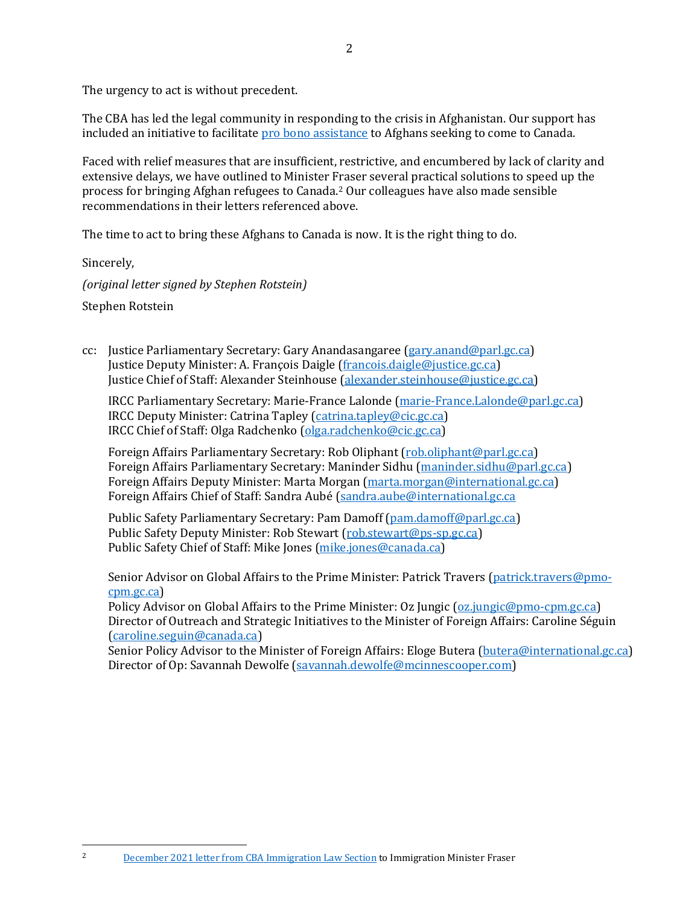The urgency to act is without precedent.

included an initiative to facilitate <u>pro bono assistance</u> to Afghans seeking to come to Canada. The CBA has led the legal community in responding to the crisis in Afghanistan. Our support has

Faced with relief measures that are insufficient, restrictive, and encumbered by lack of clarity and extensive delays, we have outlined to Minister Fraser several practical solutions to speed up the process for bringing Afghan refugees to Canada.2 Our colleagues have also made sensible recommendations in their letters referenced above.

The time to act to bring these Afghans to Canada is now. It is the right thing to do.

Sincerely,

*(original letter signed by Stephen Rotstein)*  Stephen Rotstein

cc: Justice Parliamentary Secretary: Gary Anandasangaree [\(gary.anand@parl.gc.ca\)](mailto:gary.anand@parl.gc.ca) Justice Deputy Minister: A. François Daigle [\(francois.daigle@justice.gc.ca\)](mailto:francois.daigle@justice.gc.ca) Justice Chief of Staff: Alexander Steinhouse [\(alexander.steinhouse@justice.gc.ca\)](mailto:alexander.steinhouse@justice.gc.ca)

IRCC Parliamentary Secretary: Marie-France Lalonde [\(marie-France.Lalonde@parl.gc.ca\)](mailto:marie-France.Lalonde@parl.gc.ca) IRCC Deputy Minister: Catrina Tapley [\(catrina.tapley@cic.gc.ca\)](mailto:catrina.tapley@cic.gc.ca) IRCC Chief of Staff: Olga Radchenko [\(olga.radchenko@cic.gc.ca\)](mailto:olga.radchenko@cic.gc.ca)

Foreign Affairs Chief of Staff: Sandra Aubé (sandra.aube@international.gc.ca Foreign Affairs Parliamentary Secretary: Rob Oliphant [\(rob.oliphant@parl.gc.ca\)](mailto:rob.oliphant@parl.gc.ca) Foreign Affairs Parliamentary Secretary: Maninder Sidhu [\(maninder.sidhu@parl.gc.ca\)](mailto:maninder.sidhu@parl.gc.ca) Foreign Affairs Deputy Minister: Marta Morgan [\(marta.morgan@international.gc.ca\)](mailto:marta.morgan@international.gc.ca)

Public Safety Parliamentary Secretary: Pam Damoff [\(pam.damoff@parl.gc.ca\)](mailto:pam.damoff@parl.gc.ca) Public Safety Deputy Minister: Rob Stewart [\(rob.stewart@ps-sp.gc.ca\)](mailto:rob.stewart@ps-sp.gc.ca) Public Safety Chief of Staff: Mike Jones [\(mike.jones@canada.ca\)](mailto:mike.jones@canada.ca)

Senior Advisor on Global Affairs to the Prime Minister: Patrick Travers [\(patrick.travers@pmo](mailto:patrick.travers@pmo-cpm.gc.ca)[cpm.gc.ca\)](mailto:patrick.travers@pmo-cpm.gc.ca)

(caroline.seguin@canada.ca) Policy Advisor on Global Affairs to the Prime Minister: Oz Jungic [\(oz.jungic@pmo-cpm.gc.ca\)](mailto:oz.jungic@pmo-cpm.gc.ca) Director of Outreach and Strategic Initiatives to the Minister of Foreign Affairs: Caroline Séguin

Senior Policy Advisor to the Minister of Foreign Affairs: Eloge Butera [\(butera@international.gc.ca\)](mailto:butera@international.gc.ca) Director of Op: Savannah Dewolfe [\(savannah.dewolfe@mcinnescooper.com\)](mailto:savannah.dewolfe@mcinnescooper.com)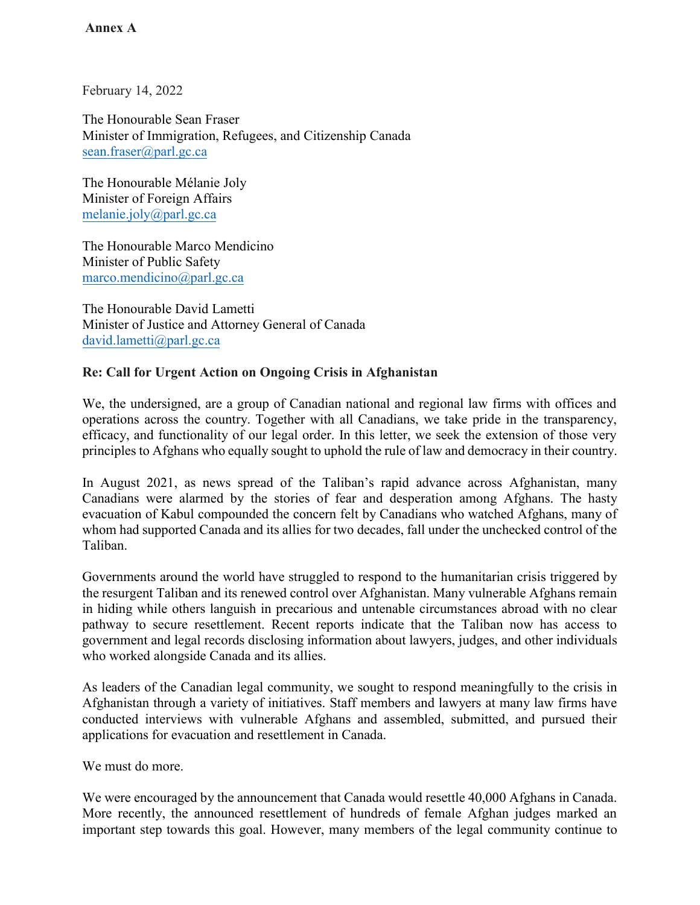**Annex A**

February 14, 2022

The Honourable Sean Fraser Minister of Immigration, Refugees, and Citizenship Canada [sean.fraser@parl.gc.ca](mailto:sean.fraser@parl.gc.ca)

melanie.joly@parl.gc.ca The Honourable Mélanie Joly Minister of Foreign Affairs

The Honourable Marco Mendicino Minister of Public Safety [marco.mendicino@parl.gc.ca](mailto:marco.mendicino@parl.gc.ca)

The Honourable David Lametti Minister of Justice and Attorney General of Canada [david.lametti@parl.gc.ca](mailto:david.lametti@parl.gc.ca)

#### **Re: Call for Urgent Action on Ongoing Crisis in Afghanistan**

 We, the undersigned, are a group of Canadian national and regional law firms with offices and operations across the country. Together with all Canadians, we take pride in the transparency, efficacy, and functionality of our legal order. In this letter, we seek the extension of those very principles to Afghans who equally sought to uphold the rule of law and democracy in their country.

 In August 2021, as news spread of the Taliban's rapid advance across Afghanistan, many Canadians were alarmed by the stories of fear and desperation among Afghans. The hasty evacuation of Kabul compounded the concern felt by Canadians who watched Afghans, many of whom had supported Canada and its allies for two decades, fall under the unchecked control of the Taliban.

 Governments around the world have struggled to respond to the humanitarian crisis triggered by the resurgent Taliban and its renewed control over Afghanistan. Many vulnerable Afghans remain in hiding while others languish in precarious and untenable circumstances abroad with no clear pathway to secure resettlement. Recent reports indicate that the Taliban now has access to government and legal records disclosing information about lawyers, judges, and other individuals who worked alongside Canada and its allies.

 As leaders of the Canadian legal community, we sought to respond meaningfully to the crisis in Afghanistan through a variety of initiatives. Staff members and lawyers at many law firms have conducted interviews with vulnerable Afghans and assembled, submitted, and pursued their applications for evacuation and resettlement in Canada.

We must do more.

 We were encouraged by the announcement that Canada would resettle 40,000 Afghans in Canada. More recently, the announced resettlement of hundreds of female Afghan judges marked an important step towards this goal. However, many members of the legal community continue to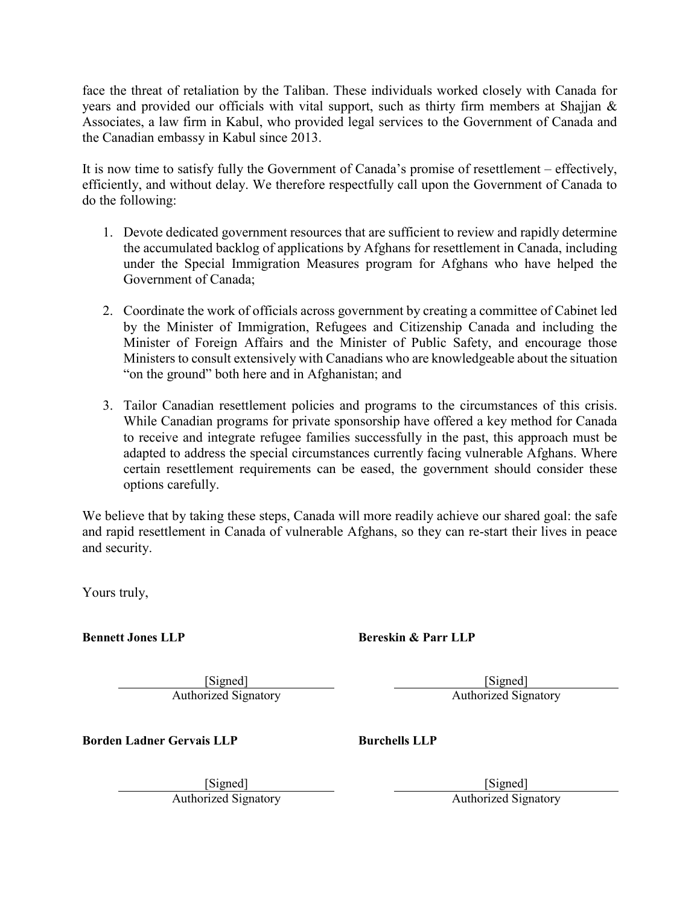face the threat of retaliation by the Taliban. These individuals worked closely with Canada for years and provided our officials with vital support, such as thirty firm members at Shajjan & Associates, a law firm in Kabul, who provided legal services to the Government of Canada and the Canadian embassy in Kabul since 2013.

 It is now time to satisfy fully the Government of Canada's promise of resettlement – effectively, efficiently, and without delay. We therefore respectfully call upon the Government of Canada to do the following:

- 1. Devote dedicated government resources that are sufficient to review and rapidly determine the accumulated backlog of applications by Afghans for resettlement in Canada, including under the Special Immigration Measures program for Afghans who have helped the Government of Canada;
- 2. Coordinate the work of officials across government by creating a committee of Cabinet led by the Minister of Immigration, Refugees and Citizenship Canada and including the Minister of Foreign Affairs and the Minister of Public Safety, and encourage those Ministers to consult extensively with Canadians who are knowledgeable about the situation "on the ground" both here and in Afghanistan; and
- 3. Tailor Canadian resettlement policies and programs to the circumstances of this crisis. While Canadian programs for private sponsorship have offered a key method for Canada to receive and integrate refugee families successfully in the past, this approach must be adapted to address the special circumstances currently facing vulnerable Afghans. Where certain resettlement requirements can be eased, the government should consider these options carefully.

 We believe that by taking these steps, Canada will more readily achieve our shared goal: the safe and rapid resettlement in Canada of vulnerable Afghans, so they can re-start their lives in peace and security.

Yours truly,

 **Bennett Jones LLP** 

**Authorized Signatory** [Signed] EP<br> **Bereskin & Parr LLP**<br> **Authorized Signatory Bereskin & Parr LLP**<br> **Authorized Signatory Authorized Signatory** 

[Signed] Authorized Signatory

**Borden Ladner Gervais LLP** 

**Authorized Signatory** [Signed] Gervais LLP<br> **Burchells LLP**<br> **Authorized Signatory** 

[Signed] Authorized Signatory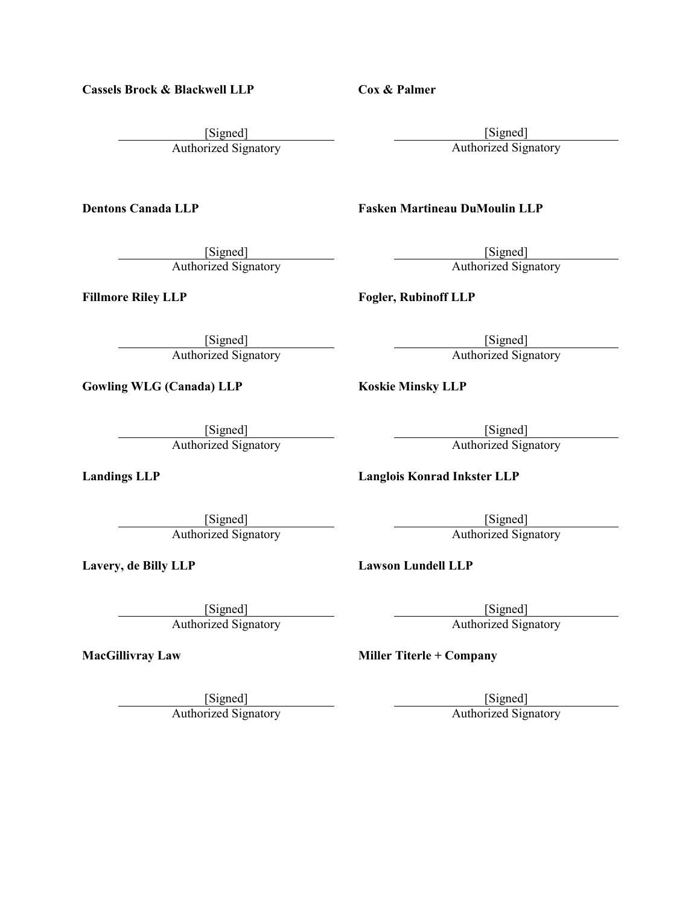**Cassels Brock & Blackwell LLP** 

[Signed] Authorized Signatory Blackwell LLP<br> **Cox & Palmer**<br> **Cox & Palmer**<br> **Cox & Palmer**<br> **Cox & Palmer**<br> **Cox & Palmer**<br> **Cox & Palmer**<br> **Cox & Palmer**<br> **Cox & Palmer**<br> **Cox & Palmer**<br> **Cox & Palmer**<br> **Cox & Palmer**<br> **Cox & Palmer**<br> **Cox & Palmer**<br>

**Dentons Canada LLP** 

[Signed] Authorized Signatory

**Fillmore Riley LLP** 

[Signed] Authorized Signatory

**Gowling WLG (Canada) LLP** 

[Signed] Authorized Signatory

**Landings LLP** 

[Signed] Authorized Signatory

**Lavery, de Billy LLP** 

[Signed] Authorized Signatory

**MacGillivray Law** 

[Signed]

[Signed] Authorized Signatory

 **Fasken Martineau DuMoulin LLP** 

[Signed] Authorized Signatory

**Fogler, Rubinoff LLP** 

[Signed] Authorized Signatory

**Koskie Minsky LLP** 

[Signed] Authorized Signatory

**Langlois Konrad Inkster LLP** 

[Signed] Authorized Signatory

**Lawson Lundell LLP** 

 [Signed] Authorized Signatory

 **Miller Titerle + Company** 

[Signed]

Authorized Signatory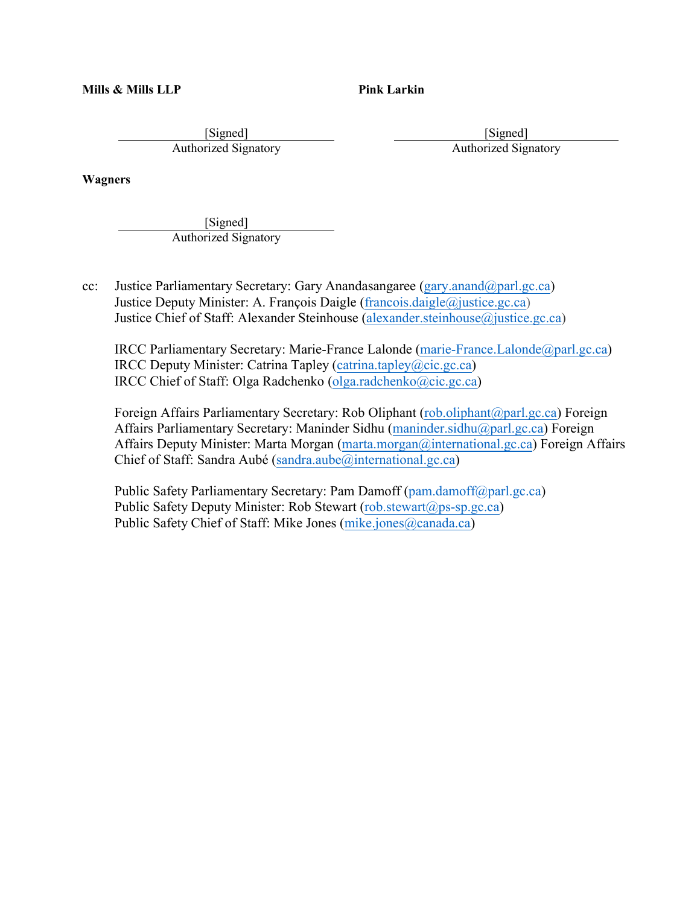**Mills & Mills LLP** 

**Pink Larkin** 

[Signed] Authorized Signatory

[Signed] Authorized Signatory

**Wagners** 

[Signed] Authorized Signatory

 $cc$ : Justice Parliamentary Secretary: Gary Anandasangaree ([gary.anand@parl.gc.ca\)](mailto:gary.anand@parl.gc.ca) Justice Deputy Minister: A. François Daigle ([francois.daigle@justice.gc.ca](mailto:francois.daigle@justice.gc.ca)) Justice Chief of Staff: Alexander Steinhouse (alexander steinhouse@justice.gc.ca)

 IRCC Deputy Minister: Catrina Tapley ([catrina.tapley@cic.gc.ca\)](mailto:catrina.tapley@cic.gc.ca) IRCC Parliamentary Secretary: Marie-France Lalonde ([marie-France.Lalonde@parl.gc.ca\)](mailto:marie-France.Lalonde@parl.gc.ca) IRCC Chief of Staff: Olga Radchenko ([olga.radchenko@cic.gc.ca](mailto:olga.radchenko@cic.gc.ca))

Foreign Affairs Parliamentary Secretary: Rob Oliphant [\(rob.oliphant@parl.gc.ca](mailto:rob.oliphant@parl.gc.ca)) Foreign Affairs Deputy Minister: Marta Morgan [\(marta.morgan@international.gc.ca\)](mailto:marta.morgan@international.gc.ca) Foreign Affairs Affairs Parliamentary Secretary: Maninder Sidhu ([maninder.sidhu@parl.gc.ca\)](mailto:maninder.sidhu@parl.gc.ca) Foreign Chief of Staff: Sandra Aubé ([sandra.aube@international.gc.ca](mailto:sandra.aube@international.gc.ca))

Public Safety Parliamentary Secretary: Pam Damoff ([pam.damoff@parl.gc.ca\)](mailto:pam.damoff@parl.gc.ca) Public Safety Deputy Minister: Rob Stewart ([rob.stewart@ps-sp.gc.ca\)](mailto:rob.stewart@ps-sp.gc.ca) Public Safety Chief of Staff: Mike Jones [\(mike.jones@canada.ca\)](mailto:mike.jones@canada.ca)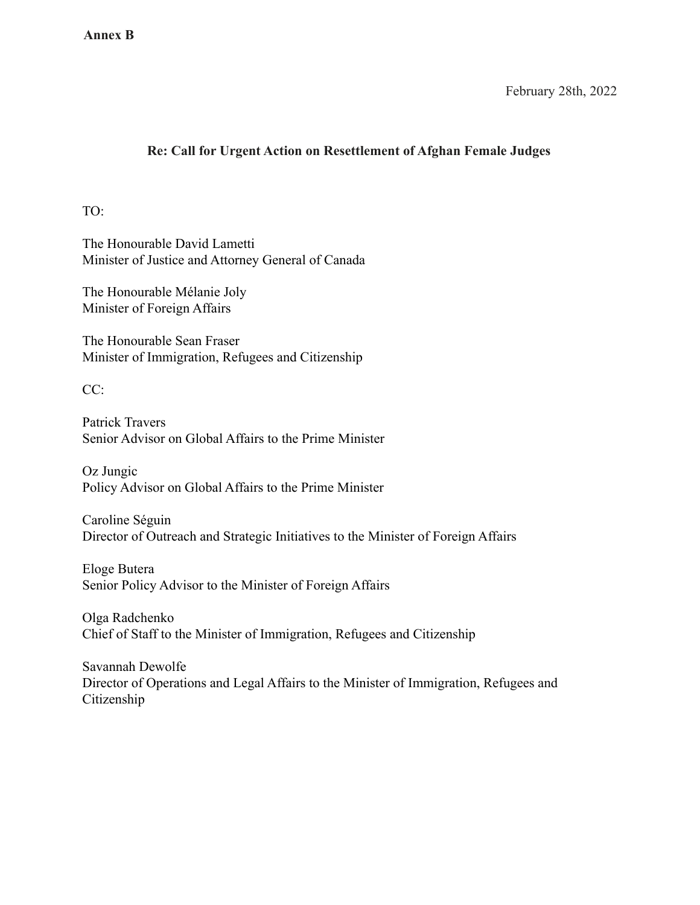February 28th, 2022

### **Re: Call for Urgent Action on Resettlement of Afghan Female Judges**

TO:

The Honourable David Lametti Minister of Justice and Attorney General of Canada

The Honourable Mélanie Joly Minister of Foreign Affairs

The Honourable Sean Fraser Minister of Immigration, Refugees and Citizenship

CC:

Patrick Travers Senior Advisor on Global Affairs to the Prime Minister

Oz Jungic Policy Advisor on Global Affairs to the Prime Minister

Caroline Séguin Director of Outreach and Strategic Initiatives to the Minister of Foreign Affairs

Eloge Butera Senior Policy Advisor to the Minister of Foreign Affairs

Olga Radchenko Chief of Staff to the Minister of Immigration, Refugees and Citizenship

Savannah Dewolfe Director of Operations and Legal Affairs to the Minister of Immigration, Refugees and Citizenship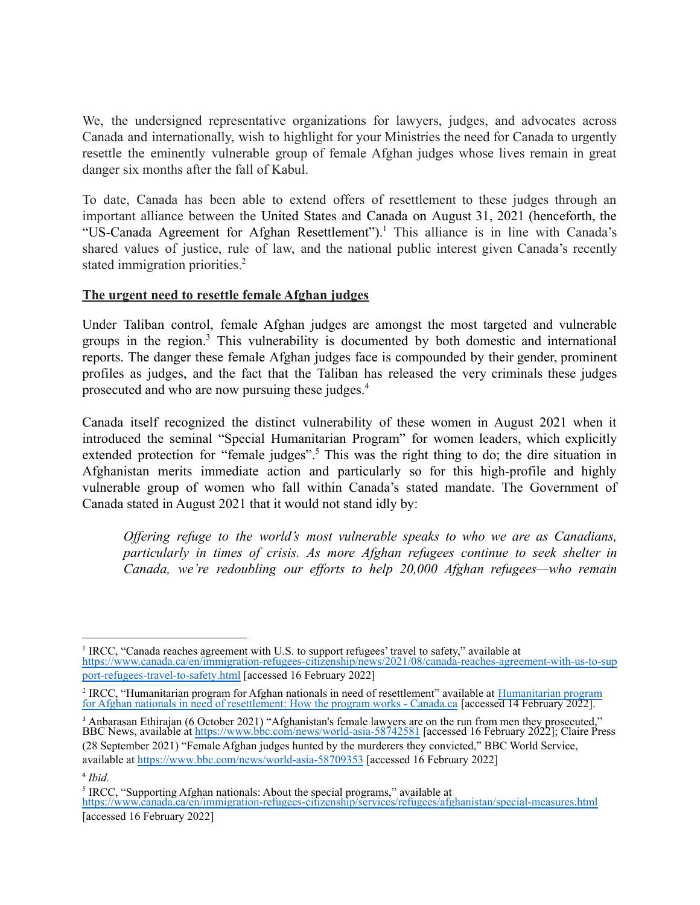We, the undersigned representative organizations for lawyers, judges, and advocates across Canada and internationally, wish to highlight for your Ministries the need for Canada to urgently resettle the eminently vulnerable group of female Afghan judges whose lives remain in great danger six months after the fall of Kabul.

To date, Canada has been able to extend offers of resettlement to these judges through an important alliance between the United States and Canada on August 31, 2021 (henceforth, the "US-Canada Agreement for Afghan Resettlement").<sup>1</sup> This alliance is in line with Canada's shared values of justice, rule of law, and the national public interest given Canada's recently stated immigration priorities.<sup>2</sup>

#### **The urgent need to resettle female Afghan judges**

Under Taliban control, female Afghan judges are amongst the most targeted and vulnerable groups in the region.<sup>3</sup> This vulnerability is documented by both domestic and international reports. The danger these female Afghan judges face is compounded by their gender, prominent profiles as judges, and the fact that the Taliban has released the very criminals these judges prosecuted and who are now pursuing these judges.<sup>4</sup>

Canada itself recognized the distinct vulnerability of these women in August 2021 when it introduced the seminal "Special Humanitarian Program" for women leaders, which explicitly extended protection for "female judges".<sup>5</sup> This was the right thing to do; the dire situation in Afghanistan merits immediate action and particularly so for this high-profile and highly vulnerable group of women who fall within Canada's stated mandate. The Government of Canada stated in August 2021 that it would not stand idly by:

*Offering refuge to the world's most vulnerable speaks to who we are as Canadians, particularly in times of crisis. As more Afghan refugees continue to seek shelter in Canada, we're redoubling our efforts to help 20,000 Afghan refugees—who remain*

 (28 September 2021) "Female Afghan judges hunted by the murderers they convicted," BBC World Service, available at <https://www.bbc.com/news/world-asia-58709353> [accessed 16 February 2022] <sup>3</sup> Anbarasan Ethirajan (6 October 2021) "Afghanistan's female lawyers are on the run from men they prosecuted," BBC News, available at <https://www.bbc.com/news/world-asia-58742581>[accessed 16 February 2022]; Claire Press

<sup>&</sup>lt;sup>1</sup> IRCC, "Canada reaches agreement with U.S. to support refugees' travel to safety," available at [port-refugees-travel-to-safety.html](https://www.canada.ca/en/immigration-refugees-citizenship/news/2021/08/canada-reaches-agreement-with-us-to-support-refugees-travel-to-safety.html) [accessed 16 February 2022] [https://www.canada.ca/en/immigration-refugees-citizenship/news/2021/08/canada-reaches-agreement-with-us-to-sup](https://www.canada.ca/en/immigration-refugees-citizenship/news/2021/08/canada-reaches-agreement-with-us-to-support-refugees-travel-to-safety.html)

J ļ <sup>2</sup> IRCC, "[Humanitarian program](https://www.canada.ca/en/immigration-refugees-citizenship/services/refugees/afghanistan/special-measures/how-humanitarian-program.html) for Afghan nationals in need of resettlement" available at Humanitarian program for [Afghan nationals in need of resettlement: How the program](https://www.canada.ca/en/immigration-refugees-citizenship/services/refugees/afghanistan/special-measures/how-humanitarian-program.html) works - Canada.ca [accessed 14 February 2022].

<sup>4</sup> *Ibid.*

<sup>&</sup>lt;sup>5</sup> IRCC, "Supporting Afghan nationals: About the special programs," available at <https://www.canada.ca/en/immigration-refugees-citizenship/services/refugees/afghanistan/special-measures.html>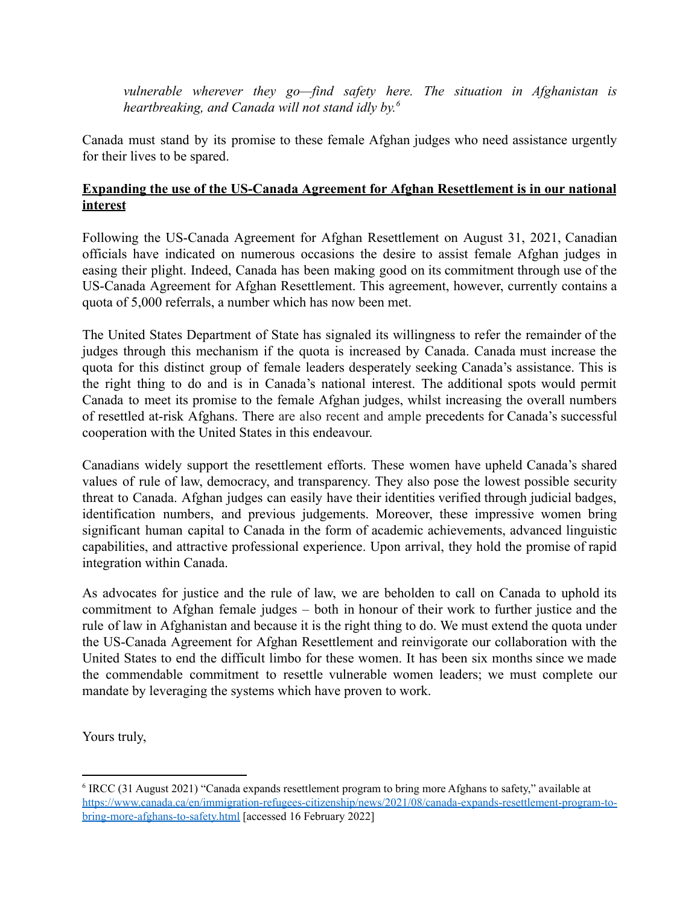*vulnerable wherever they go—find safety here. The situation in Afghanistan is heartbreaking, and Canada will not stand idly by.6*

Canada must stand by its promise to these female Afghan judges who need assistance urgently for their lives to be spared.

### **Expanding the use of the US-Canada Agreement for Afghan Resettlement is in our national interest**

Following the US-Canada Agreement for Afghan Resettlement on August 31, 2021, Canadian officials have indicated on numerous occasions the desire to assist female Afghan judges in easing their plight. Indeed, Canada has been making good on its commitment through use of the US-Canada Agreement for Afghan Resettlement. This agreement, however, currently contains a quota of 5,000 referrals, a number which has now been met.

The United States Department of State has signaled its willingness to refer the remainder of the judges through this mechanism if the quota is increased by Canada. Canada must increase the quota for this distinct group of female leaders desperately seeking Canada's assistance. This is the right thing to do and is in Canada's national interest. The additional spots would permit Canada to meet its promise to the female Afghan judges, whilst increasing the overall numbers of resettled at-risk Afghans. There are also recent and ample precedents for Canada's successful cooperation with the United States in this endeavour.

Canadians widely support the resettlement efforts. These women have upheld Canada's shared values of rule of law, democracy, and transparency. They also pose the lowest possible security threat to Canada. Afghan judges can easily have their identities verified through judicial badges, identification numbers, and previous judgements. Moreover, these impressive women bring significant human capital to Canada in the form of academic achievements, advanced linguistic capabilities, and attractive professional experience. Upon arrival, they hold the promise of rapid integration within Canada.

As advocates for justice and the rule of law, we are beholden to call on Canada to uphold its commitment to Afghan female judges – both in honour of their work to further justice and the rule of law in Afghanistan and because it is the right thing to do. We must extend the quota under the US-Canada Agreement for Afghan Resettlement and reinvigorate our collaboration with the United States to end the difficult limbo for these women. It has been six months since we made the commendable commitment to resettle vulnerable women leaders; we must complete our mandate by leveraging the systems which have proven to work.

Yours truly,

 $6$  IRCC (31 August 2021) "Canada expands resettlement program to bring more Afghans to safety," available at [bring-more-afghans-to-safety.html](https://www.canada.ca/en/immigration-refugees-citizenship/news/2021/08/canada-expands-resettlement-program-to-bring-more-afghans-to-safety.html) [accessed 16 February 2022] [https://www.canada.ca/en/immigration-refugees-citizenship/news/2021/08/canada-expands-resettlement-program-to-](https://www.canada.ca/en/immigration-refugees-citizenship/news/2021/08/canada-expands-resettlement-program-to-bring-more-afghans-to-safety.html)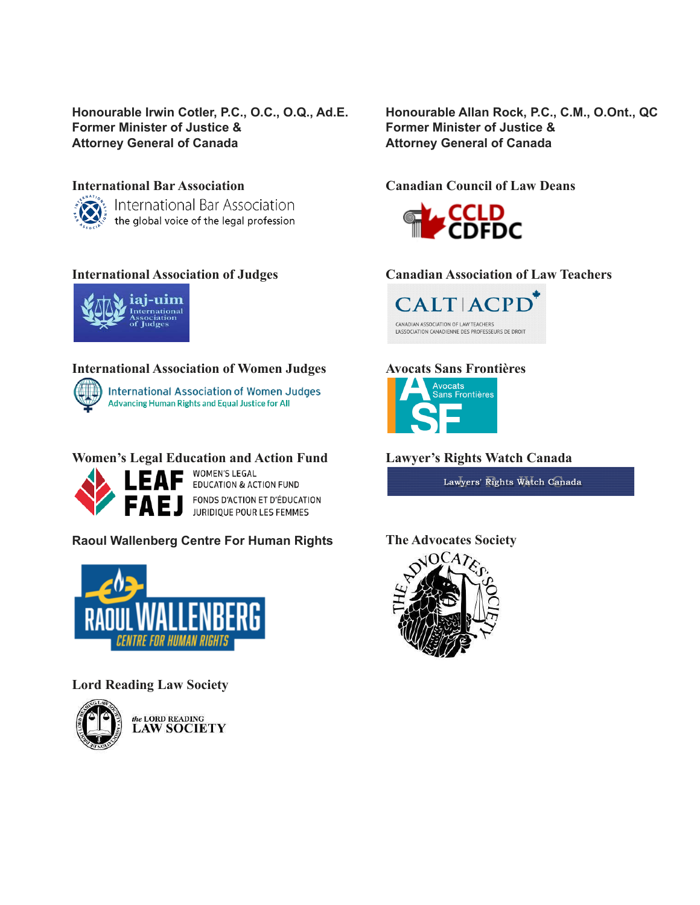#### **Honourable Irwin Cotler, P.C., O.C., O.Q., Ad.E. Honourable Allan Rock, P.C., C.M., O.Ont., QC Former Minister of Justice & Attorney General of Canada Attorney General of Canada Former Minister of Justice & Former Minister of Justice &**

**International Bar Association Canadian Council of Law Deans** International Bar Association the global voice of the legal profession



#### **International Association of Women Judges Avocats Sans Frontières**



# **Women's Legal Education and Action Fund Lawyer's Rights Watch Canada**<br> **A L F A F** WOMEN'S LEGAL



**EDUCATION & ACTION FUND** FONDS D'ACTION ET D'ÉDUCATION **FAEJ** FONDS D'ACTION ET D'ÉDUCATION

#### **Raoul Wallenberg Centre For Human Rights The Advocates Society**



#### **Lord Reading Law Society**



the LORD READING<br>LAW SOCIETY

Honourable Allan Rock, P.C., C.M., O.Ont., QC **Attorney General of Canada** 



### **International Association of Judges Canadian Association of Law Teachers**





Lawyers' Rights Watch Canada